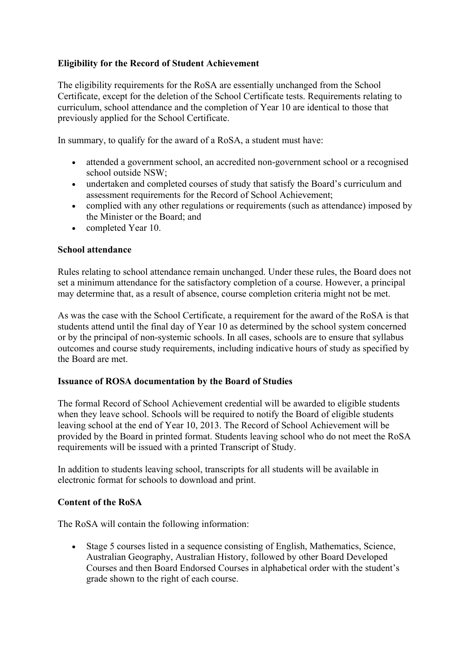# **Eligibility for the Record of Student Achievement**

The eligibility requirements for the RoSA are essentially unchanged from the School Certificate, except for the deletion of the School Certificate tests. Requirements relating to curriculum, school attendance and the completion of Year 10 are identical to those that previously applied for the School Certificate.

In summary, to qualify for the award of a RoSA, a student must have:

- attended a government school, an accredited non-government school or a recognised school outside NSW;
- undertaken and completed courses of study that satisfy the Board's curriculum and assessment requirements for the Record of School Achievement;
- complied with any other regulations or requirements (such as attendance) imposed by the Minister or the Board; and
- completed Year 10.

### **School attendance**

Rules relating to school attendance remain unchanged. Under these rules, the Board does not set a minimum attendance for the satisfactory completion of a course. However, a principal may determine that, as a result of absence, course completion criteria might not be met.

As was the case with the School Certificate, a requirement for the award of the RoSA is that students attend until the final day of Year 10 as determined by the school system concerned or by the principal of non-systemic schools. In all cases, schools are to ensure that syllabus outcomes and course study requirements, including indicative hours of study as specified by the Board are met.

### **Issuance of ROSA documentation by the Board of Studies**

The formal Record of School Achievement credential will be awarded to eligible students when they leave school. Schools will be required to notify the Board of eligible students leaving school at the end of Year 10, 2013. The Record of School Achievement will be provided by the Board in printed format. Students leaving school who do not meet the RoSA requirements will be issued with a printed Transcript of Study.

In addition to students leaving school, transcripts for all students will be available in electronic format for schools to download and print.

## **Content of the RoSA**

The RoSA will contain the following information:

• Stage 5 courses listed in a sequence consisting of English, Mathematics, Science, Australian Geography, Australian History, followed by other Board Developed Courses and then Board Endorsed Courses in alphabetical order with the student's grade shown to the right of each course.